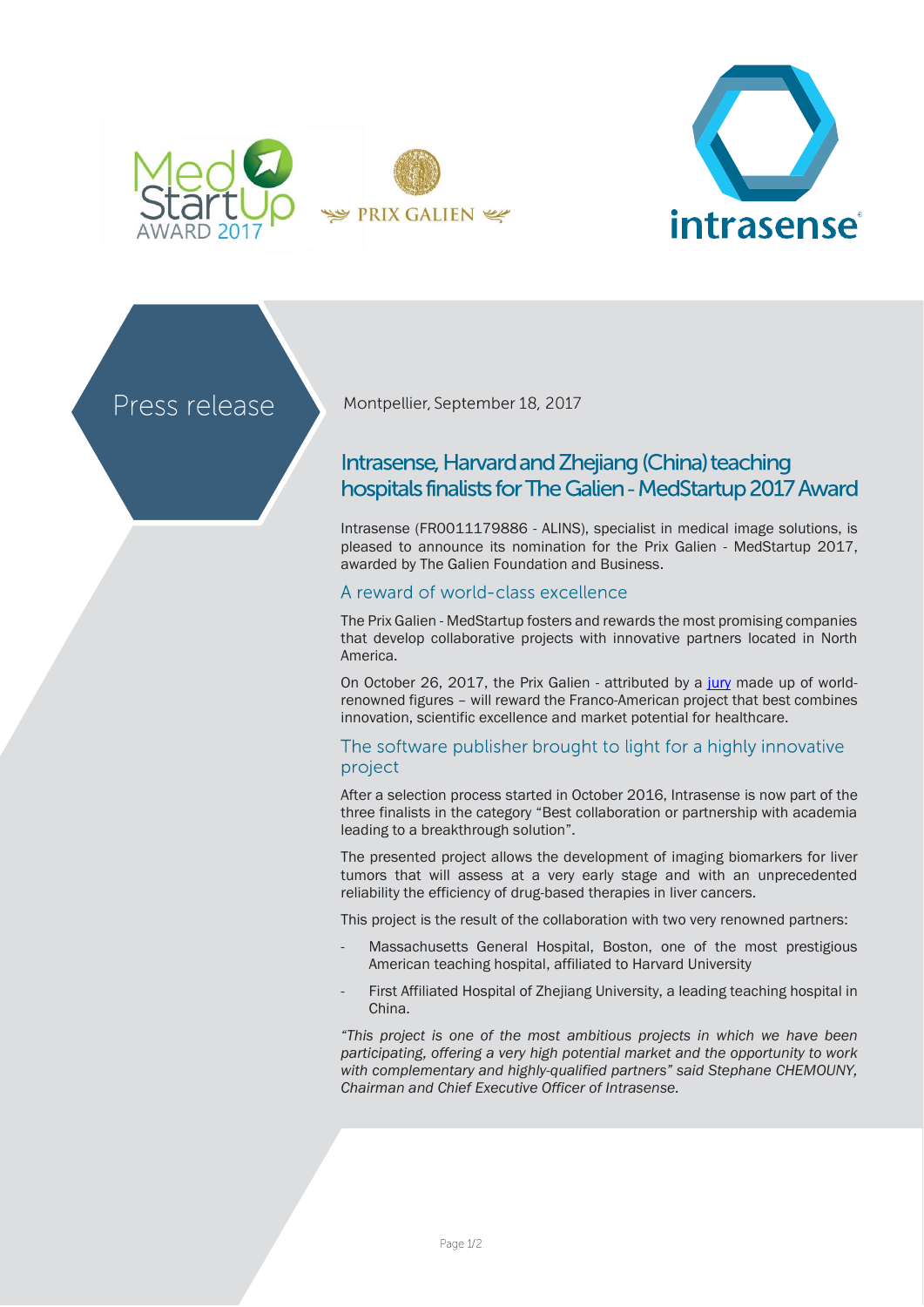



Press release

Montpellier, September 18, 2017

# Intrasense, Harvard and Zhejiang (China) teaching hospitals finalists for The Galien - MedStartup 2017 Award

Intrasense (FR0011179886 - ALINS), specialist in medical image solutions, is pleased to announce its nomination for the Prix Galien - MedStartup 2017, awarded by The Galien Foundation and Business.

## A reward of world-class excellence

The Prix Galien - MedStartup fosters and rewards the most promising companies that develop collaborative projects with innovative partners located in North America.

On October 26, 2017, the Prix Galien - attributed by a [jury](http://medstartup.galienfoundation.org/wp/) made up of worldrenowned figures – will reward the Franco-American project that best combines innovation, scientific excellence and market potential for healthcare.

## The software publisher brought to light for a highly innovative project

After a selection process started in October 2016, Intrasense is now part of the three finalists in the category "Best collaboration or partnership with academia leading to a breakthrough solution".

The presented project allows the development of imaging biomarkers for liver tumors that will assess at a very early stage and with an unprecedented reliability the efficiency of drug-based therapies in liver cancers.

This project is the result of the collaboration with two very renowned partners:

- Massachusetts General Hospital, Boston, one of the most prestigious American teaching hospital, affiliated to Harvard University
- First Affiliated Hospital of Zhejiang University, a leading teaching hospital in China.

*"This project is one of the most ambitious projects in which we have been participating, offering a very high potential market and the opportunity to work with complementary and highly-qualified partners" said Stephane CHEMOUNY, Chairman and Chief Executive Officer of Intrasense.*